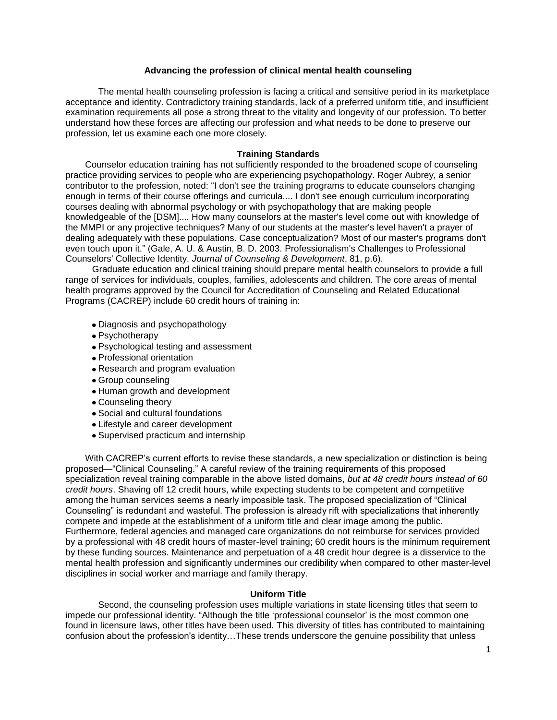# **Advancing the profession of clinical mental health counseling**

The mental health counseling profession is facing a critical and sensitive period in its marketplace acceptance and identity. Contradictory training standards, lack of a preferred uniform title, and insufficient examination requirements all pose a strong threat to the vitality and longevity of our profession. To better understand how these forces are affecting our profession and what needs to be done to preserve our profession, let us examine each one more closely.

### **Training Standards**

Counselor education training has not sufficiently responded to the broadened scope of counseling practice providing services to people who are experiencing psychopathology. Roger Aubrey, a senior contributor to the profession, noted: "I don't see the training programs to educate counselors changing enough in terms of their course offerings and curricula.... I don't see enough curriculum incorporating courses dealing with abnormal psychology or with psychopathology that are making people knowledgeable of the [DSM].... How many counselors at the master's level come out with knowledge of the MMPI or any projective techniques? Many of our students at the master's level haven't a prayer of dealing adequately with these populations. Case conceptualization? Most of our master's programs don't even touch upon it." (Gale, A. U. & Austin, B. D. 2003. Professionalism's Challenges to Professional Counselors' Collective Identity. *Journal of Counseling & Development*, 81, p.6).

Graduate education and clinical training should prepare mental health counselors to provide a full range of services for individuals, couples, families, adolescents and children. The core areas of mental health programs approved by the Council for Accreditation of Counseling and Related Educational Programs (CACREP) include 60 credit hours of training in:

- Diagnosis and psychopathology
- Psychotherapy
- Psychological testing and assessment
- Professional orientation
- Research and program evaluation
- Group counseling
- Human growth and development
- Counseling theory
- Social and cultural foundations
- Lifestyle and career development
- Supervised practicum and internship

With CACREP's current efforts to revise these standards, a new specialization or distinction is being proposed—"Clinical Counseling." A careful review of the training requirements of this proposed specialization reveal training comparable in the above listed domains, *but at 48 credit hours instead of 60 credit hours*. Shaving off 12 credit hours, while expecting students to be competent and competitive among the human services seems a nearly impossible task. The proposed specialization of "Clinical Counseling" is redundant and wasteful. The profession is already rift with specializations that inherently compete and impede at the establishment of a uniform title and clear image among the public. Furthermore, federal agencies and managed care organizations do not reimburse for services provided by a professional with 48 credit hours of master-level training; 60 credit hours is the minimum requirement by these funding sources. Maintenance and perpetuation of a 48 credit hour degree is a disservice to the mental health profession and significantly undermines our credibility when compared to other master-level disciplines in social worker and marriage and family therapy.

#### **Uniform Title**

Second, the counseling profession uses multiple variations in state licensing titles that seem to impede our professional identity. "Although the title 'professional counselor' is the most common one found in licensure laws, other titles have been used. This diversity of titles has contributed to maintaining confusion about the profession's identity…These trends underscore the genuine possibility that unless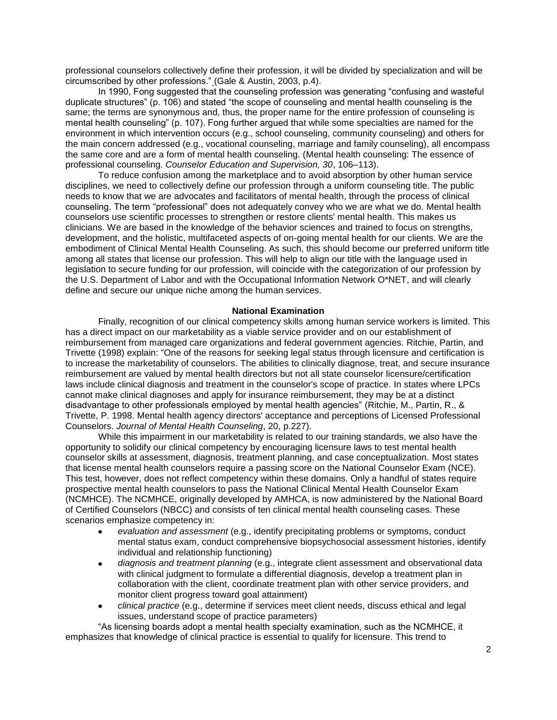professional counselors collectively define their profession, it will be divided by specialization and will be circumscribed by other professions." (Gale & Austin, 2003, p.4).

In 1990, Fong suggested that the counseling profession was generating "confusing and wasteful duplicate structures" (p. 106) and stated "the scope of counseling and mental health counseling is the same; the terms are synonymous and, thus, the proper name for the entire profession of counseling is mental health counseling" (p. 107). Fong further argued that while some specialties are named for the environment in which intervention occurs (e.g., school counseling, community counseling) and others for the main concern addressed (e.g., vocational counseling, marriage and family counseling), all encompass the same core and are a form of mental health counseling. (Mental health counseling: The essence of professional counseling. *Counselor Education and Supervision, 30*, 106–113).

To reduce confusion among the marketplace and to avoid absorption by other human service disciplines, we need to collectively define our profession through a uniform counseling title. The public needs to know that we are advocates and facilitators of mental health, through the process of clinical counseling. The term "professional" does not adequately convey who we are what we do. Mental health counselors use scientific processes to strengthen or restore clients' mental health. This makes us clinicians. We are based in the knowledge of the behavior sciences and trained to focus on strengths, development, and the holistic, multifaceted aspects of on-going mental health for our clients. We are the embodiment of Clinical Mental Health Counseling. As such, this should become our preferred uniform title among all states that license our profession. This will help to align our title with the language used in legislation to secure funding for our profession, will coincide with the categorization of our profession by the U.S. Department of Labor and with the Occupational Information Network O\*NET, and will clearly define and secure our unique niche among the human services.

## **National Examination**

Finally, recognition of our clinical competency skills among human service workers is limited. This has a direct impact on our marketability as a viable service provider and on our establishment of reimbursement from managed care organizations and federal government agencies. Ritchie, Partin, and Trivette (1998) explain: "One of the reasons for seeking legal status through licensure and certification is to increase the marketability of counselors. The abilities to clinically diagnose, treat, and secure insurance reimbursement are valued by mental health directors but not all state counselor licensure/certification laws include clinical diagnosis and treatment in the counselor's scope of practice. In states where LPCs cannot make clinical diagnoses and apply for insurance reimbursement, they may be at a distinct disadvantage to other professionals employed by mental health agencies" (Ritchie, M., Partin, R., & Trivette, P. 1998. Mental health agency directors' acceptance and perceptions of Licensed Professional Counselors. *Journal of Mental Health Counseling*, 20, p.227).

While this impairment in our marketability is related to our training standards, we also have the opportunity to solidify our clinical competency by encouraging licensure laws to test mental health counselor skills at assessment, diagnosis, treatment planning, and case conceptualization. Most states that license mental health counselors require a passing score on the National Counselor Exam (NCE). This test, however, does not reflect competency within these domains. Only a handful of states require prospective mental health counselors to pass the National Clinical Mental Health Counselor Exam (NCMHCE). The NCMHCE, originally developed by AMHCA, is now administered by the National Board of Certified Counselors (NBCC) and consists of ten clinical mental health counseling cases. These scenarios emphasize competency in:

- *evaluation and assessment* (e.g., identify precipitating problems or symptoms, conduct mental status exam, conduct comprehensive biopsychosocial assessment histories, identify individual and relationship functioning)
- *diagnosis and treatment planning* (e.g., integrate client assessment and observational data  $\bullet$ with clinical judgment to formulate a differential diagnosis, develop a treatment plan in collaboration with the client, coordinate treatment plan with other service providers, and monitor client progress toward goal attainment)
- *clinical practice* (e.g., determine if services meet client needs, discuss ethical and legal issues, understand scope of practice parameters)

―As licensing boards adopt a mental health specialty examination, such as the NCMHCE, it emphasizes that knowledge of clinical practice is essential to qualify for licensure. This trend to